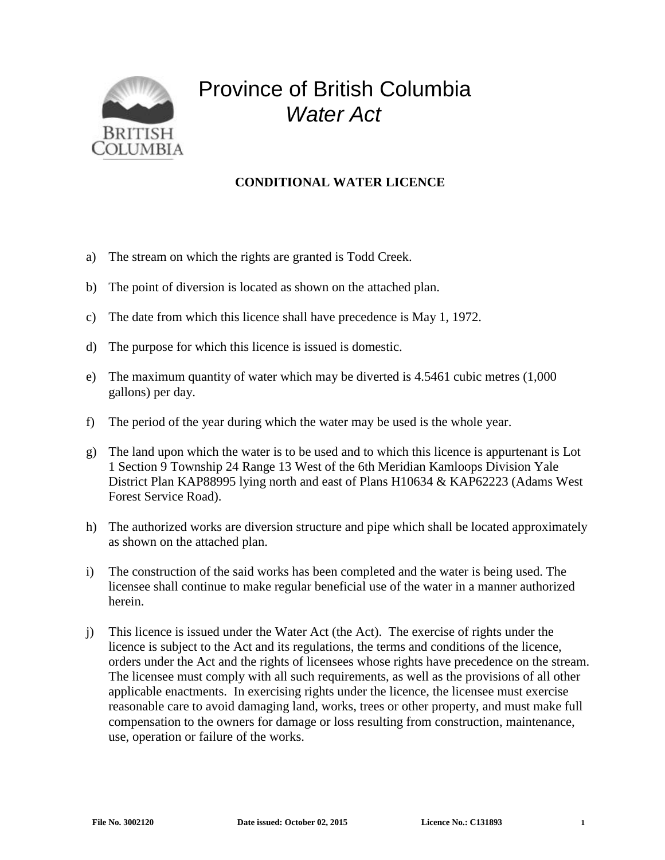

## Province of British Columbia *Water Act*

## **CONDITIONAL WATER LICENCE**

- a) The stream on which the rights are granted is Todd Creek.
- b) The point of diversion is located as shown on the attached plan.
- c) The date from which this licence shall have precedence is May 1, 1972.
- d) The purpose for which this licence is issued is domestic.
- e) The maximum quantity of water which may be diverted is 4.5461 cubic metres (1,000 gallons) per day.
- f) The period of the year during which the water may be used is the whole year.
- g) The land upon which the water is to be used and to which this licence is appurtenant is Lot 1 Section 9 Township 24 Range 13 West of the 6th Meridian Kamloops Division Yale District Plan KAP88995 lying north and east of Plans H10634 & KAP62223 (Adams West Forest Service Road).
- h) The authorized works are diversion structure and pipe which shall be located approximately as shown on the attached plan.
- i) The construction of the said works has been completed and the water is being used. The licensee shall continue to make regular beneficial use of the water in a manner authorized herein.
- j) This licence is issued under the Water Act (the Act). The exercise of rights under the licence is subject to the Act and its regulations, the terms and conditions of the licence, orders under the Act and the rights of licensees whose rights have precedence on the stream. The licensee must comply with all such requirements, as well as the provisions of all other applicable enactments. In exercising rights under the licence, the licensee must exercise reasonable care to avoid damaging land, works, trees or other property, and must make full compensation to the owners for damage or loss resulting from construction, maintenance, use, operation or failure of the works.